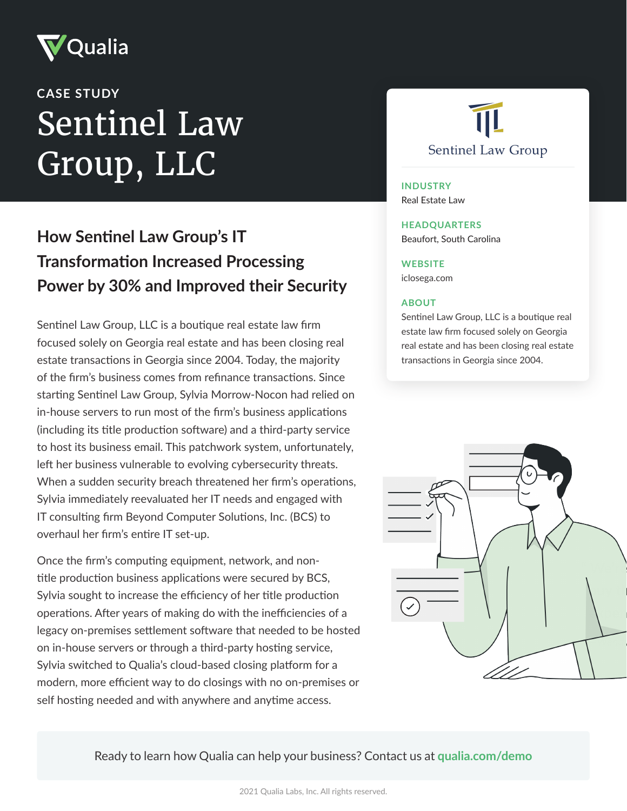

# Sentinel Law Group, LLC **CASE STUDY**

# **How Sentinel Law Group's IT Transformation Increased Processing Power by 30% and Improved their Security**

Sentinel Law Group, LLC is a boutique real estate law firm focused solely on Georgia real estate and has been closing real estate transactions in Georgia since 2004. Today, the majority of the firm's business comes from refinance transactions. Since starting Sentinel Law Group, Sylvia Morrow-Nocon had relied on in-house servers to run most of the firm's business applications (including its title production software) and a third-party service to host its business email. This patchwork system, unfortunately, left her business vulnerable to evolving cybersecurity threats. When a sudden security breach threatened her firm's operations, Sylvia immediately reevaluated her IT needs and engaged with IT consulting firm Beyond Computer Solutions, Inc. (BCS) to overhaul her firm's entire IT set-up.

Once the firm's computing equipment, network, and nontitle production business applications were secured by BCS, Sylvia sought to increase the efficiency of her title production operations. After years of making do with the inefficiencies of a legacy on-premises settlement software that needed to be hosted on in-house servers or through a third-party hosting service, Sylvia switched to Qualia's cloud-based closing platform for a modern, more efficient way to do closings with no on-premises or self hosting needed and with anywhere and anytime access.



#### **INDUSTRY** Real Estate Law

#### **HEADQUARTERS**

Beaufort, South Carolina

#### **WEBSITE**

iclosega.com

#### **ABOUT**

Sentinel Law Group, LLC is a boutique real estate law firm focused solely on Georgia real estate and has been closing real estate transactions in Georgia since 2004.

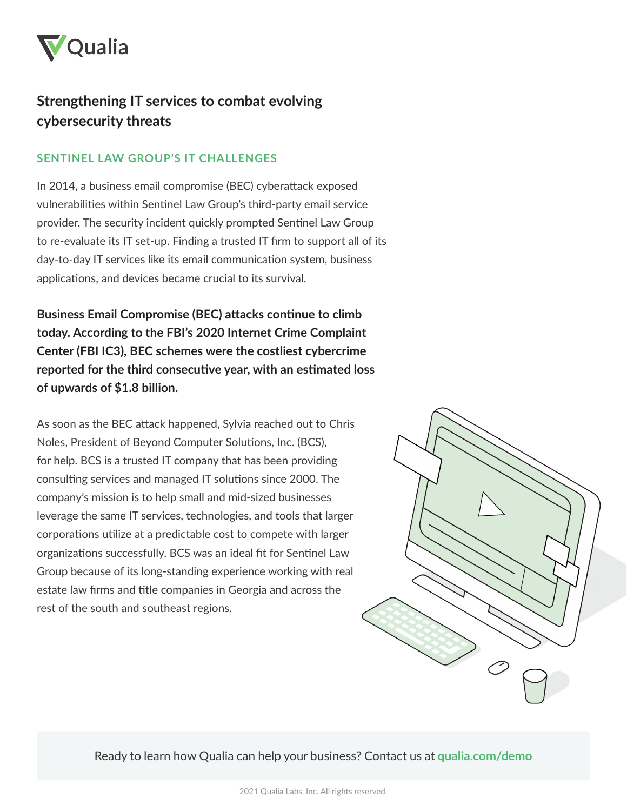

# **Strengthening IT services to combat evolving cybersecurity threats**

### **SENTINEL LAW GROUP'S IT CHALLENGES**

In 2014, a business email compromise (BEC) cyberattack exposed vulnerabilities within Sentinel Law Group's third-party email service provider. The security incident quickly prompted Sentinel Law Group to re-evaluate its IT set-up. Finding a trusted IT firm to support all of its day-to-day IT services like its email communication system, business applications, and devices became crucial to its survival.

**Business Email Compromise (BEC) attacks continue to climb today. According to the FBI's 2020 Internet Crime Complaint Center (FBI IC3), BEC schemes were the costliest cybercrime reported for the third consecutive year, with an estimated loss of upwards of \$1.8 billion.**

As soon as the BEC attack happened, Sylvia reached out to Chris Noles, President of Beyond Computer Solutions, Inc. (BCS), for help. BCS is a trusted IT company that has been providing consulting services and managed IT solutions since 2000. The company's mission is to help small and mid-sized businesses leverage the same IT services, technologies, and tools that larger corporations utilize at a predictable cost to compete with larger organizations successfully. BCS was an ideal fit for Sentinel Law Group because of its long-standing experience working with real estate law firms and title companies in Georgia and across the rest of the south and southeast regions.

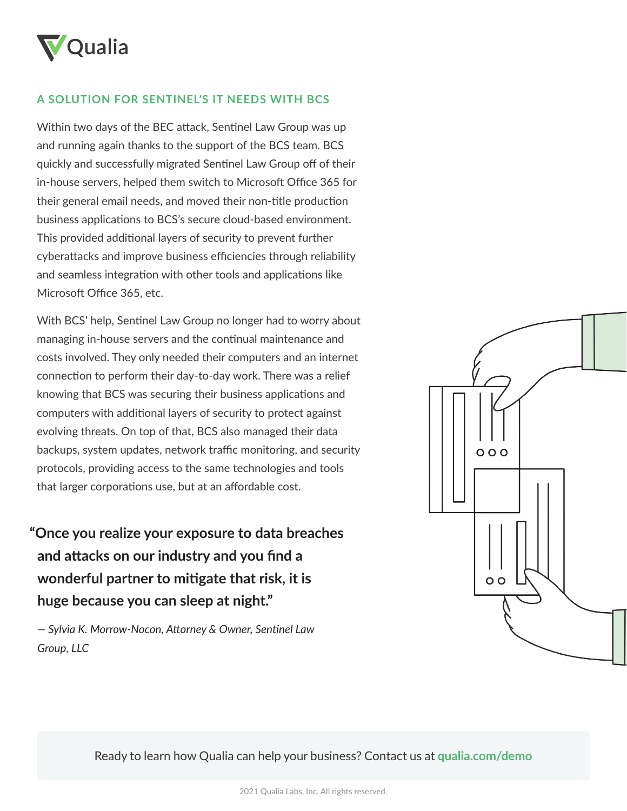

#### **A SOLUTION FOR SENTINEL'S IT NEEDS WITH BCS**

Within two days of the BEC attack, Sentinel Law Group was up and running again thanks to the support of the BCS team. BCS quickly and successfully migrated Sentinel Law Group off of their in-house servers, helped them switch to Microsoft Office 365 for their general email needs, and moved their non-title production business applications to BCS's secure cloud-based environment. This provided additional layers of security to prevent further cyberattacks and improve business efficiencies through reliability and seamless integration with other tools and applications like Microsoft Office 365, etc.

With BCS' help, Sentinel Law Group no longer had to worry about managing in-house servers and the continual maintenance and costs involved. They only needed their computers and an internet connection to perform their day-to-day work. There was a relief knowing that BCS was securing their business applications and computers with additional layers of security to protect against evolving threats. On top of that, BCS also managed their data backups, system updates, network traffic monitoring, and security protocols, providing access to the same technologies and tools that larger corporations use, but at an affordable cost.

**"Once you realize your exposure to data breaches and attacks on our industry and you find a wonderful partner to mitigate that risk, it is huge because you can sleep at night."**

*— Sylvia K. Morrow-Nocon, Attorney & Owner, Sentinel Law Group, LLC*

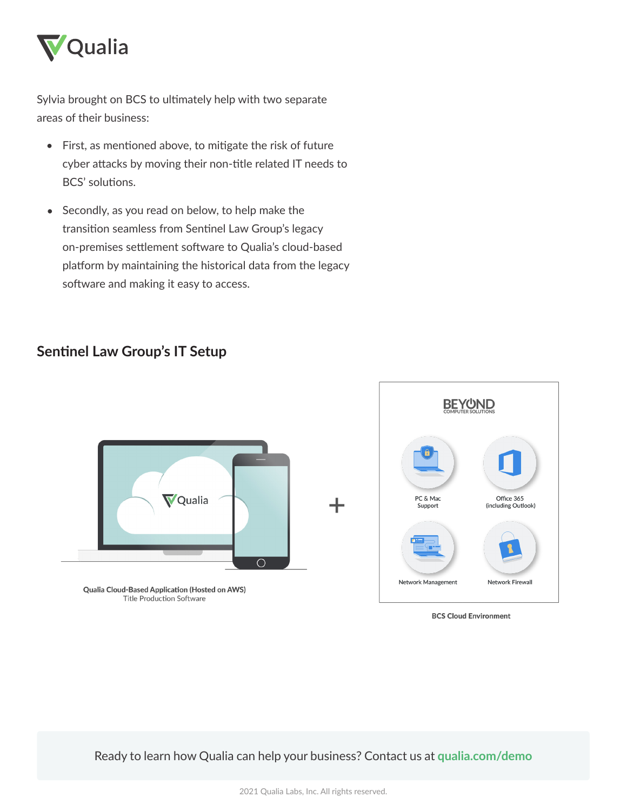

Sylvia brought on BCS to ultimately help with two separate areas of their business:

- First, as mentioned above, to mitigate the risk of future cyber attacks by moving their non-title related IT needs to BCS' solutions.
- Secondly, as you read on below, to help make the transition seamless from Sentinel Law Group's legacy on-premises settlement software to Qualia's cloud-based platform by maintaining the historical data from the legacy software and making it easy to access.  $\bullet$

## **Sentinel Law Group's IT Setup**



Qualia Cloud-Based Application (Hosted on AWS) **Title Production Software** 



**BCS Cloud Environment**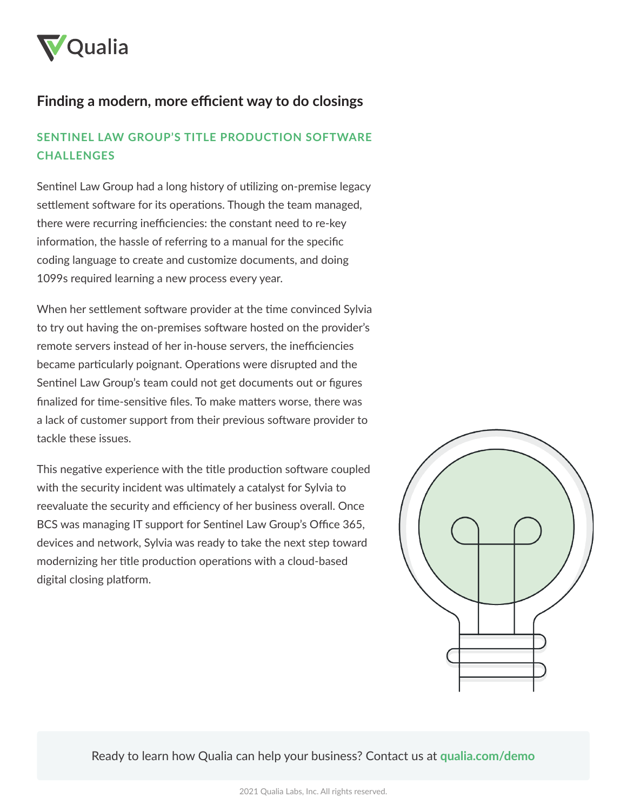

# **Finding a modern, more efficient way to do closings**

## **SENTINEL LAW GROUP'S TITLE PRODUCTION SOFTWARE CHALLENGES**

Sentinel Law Group had a long history of utilizing on-premise legacy settlement software for its operations. Though the team managed, there were recurring inefficiencies: the constant need to re-key information, the hassle of referring to a manual for the specific coding language to create and customize documents, and doing 1099s required learning a new process every year.

When her settlement software provider at the time convinced Sylvia to try out having the on-premises software hosted on the provider's remote servers instead of her in-house servers, the inefficiencies became particularly poignant. Operations were disrupted and the Sentinel Law Group's team could not get documents out or figures finalized for time-sensitive files. To make matters worse, there was a lack of customer support from their previous software provider to tackle these issues.

This negative experience with the title production software coupled with the security incident was ultimately a catalyst for Sylvia to reevaluate the security and efficiency of her business overall. Once BCS was managing IT support for Sentinel Law Group's Office 365, devices and network, Sylvia was ready to take the next step toward modernizing her title production operations with a cloud-based digital closing platform.

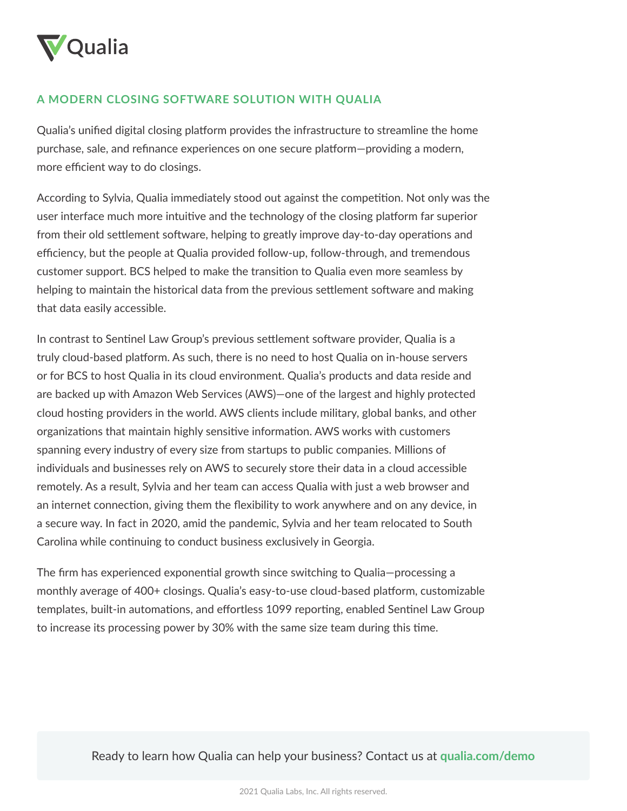

#### **A MODERN CLOSING SOFTWARE SOLUTION WITH QUALIA**

Qualia's unified digital closing platform provides the infrastructure to streamline the home purchase, sale, and refinance experiences on one secure platform—providing a modern, more efficient way to do closings.

According to Sylvia, Qualia immediately stood out against the competition. Not only was the user interface much more intuitive and the technology of the closing platform far superior from their old settlement software, helping to greatly improve day-to-day operations and efficiency, but the people at Qualia provided follow-up, follow-through, and tremendous customer support. BCS helped to make the transition to Qualia even more seamless by helping to maintain the historical data from the previous settlement software and making that data easily accessible.

In contrast to Sentinel Law Group's previous settlement software provider, Qualia is a truly cloud-based platform. As such, there is no need to host Qualia on in-house servers or for BCS to host Qualia in its cloud environment. Qualia's products and data reside and are backed up with Amazon Web Services (AWS)—one of the largest and highly protected cloud hosting providers in the world. AWS clients include military, global banks, and other organizations that maintain highly sensitive information. AWS works with customers spanning every industry of every size from startups to public companies. Millions of individuals and businesses rely on AWS to securely store their data in a cloud accessible remotely. As a result, Sylvia and her team can access Qualia with just a web browser and an internet connection, giving them the flexibility to work anywhere and on any device, in a secure way. In fact in 2020, amid the pandemic, Sylvia and her team relocated to South Carolina while continuing to conduct business exclusively in Georgia.

The firm has experienced exponential growth since switching to Qualia—processing a monthly average of 400+ closings. Qualia's easy-to-use cloud-based platform, customizable templates, built-in automations, and effortless 1099 reporting, enabled Sentinel Law Group to increase its processing power by 30% with the same size team during this time.